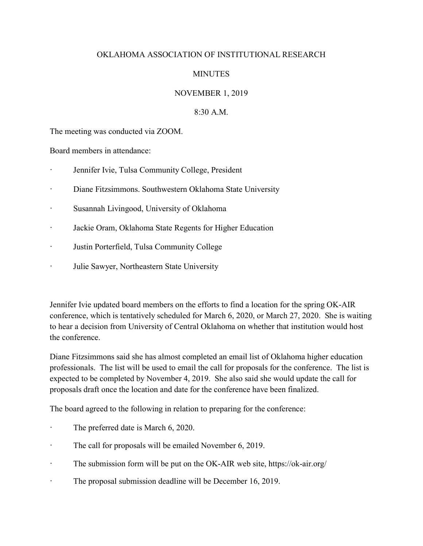## OKLAHOMA ASSOCIATION OF INSTITUTIONAL RESEARCH

## MINUTES

## NOVEMBER 1, 2019

## 8:30 A.M.

The meeting was conducted via ZOOM.

Board members in attendance:

- Jennifer Ivie, Tulsa Community College, President
- · Diane Fitzsimmons. Southwestern Oklahoma State University
- · Susannah Livingood, University of Oklahoma
- · Jackie Oram, Oklahoma State Regents for Higher Education
- · Justin Porterfield, Tulsa Community College
- Julie Sawyer, Northeastern State University

Jennifer Ivie updated board members on the efforts to find a location for the spring OK-AIR conference, which is tentatively scheduled for March 6, 2020, or March 27, 2020. She is waiting to hear a decision from University of Central Oklahoma on whether that institution would host the conference.

Diane Fitzsimmons said she has almost completed an email list of Oklahoma higher education professionals. The list will be used to email the call for proposals for the conference. The list is expected to be completed by November 4, 2019. She also said she would update the call for proposals draft once the location and date for the conference have been finalized.

The board agreed to the following in relation to preparing for the conference:

- The preferred date is March 6, 2020.
- The call for proposals will be emailed November 6, 2019.
- · The submission form will be put on the OK-AIR web site, https://ok-air.org/
- The proposal submission deadline will be December 16, 2019.